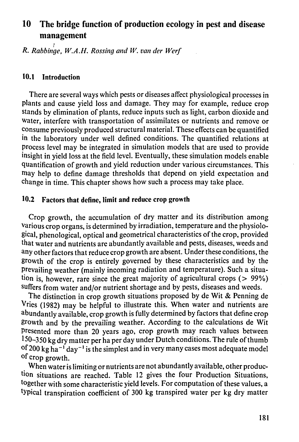# **10 The bridge function of production ecology in pest and disease management**

*R. Rabbinge, W.A.H. Rossing and W. van der Werf* 

#### **10.1** Introduction

There are several ways which pests or diseases affect physiological processes in plants and cause yield loss and damage. They may for example, reduce crop stands by elimination of plants, reduce inputs such as light, carbon dioxide and water, interfere with transportation of assimilates or nutrients and remove or consume previously produced structural material. These effects can be quantified in the laboratory under well defined conditions. The quantified relations at process level may be integrated in simulation models that are used to provide insight in yield loss at the field level. Eventually, these simulation models enable quantification of growth and yield reduction under various circumstances. This may help to define damage thresholds that depend on yield expectation and change in time. This chapter shows how such a process may take place.

#### **10.2** Factors that define, **limit** and reduce crop growth

Crop growth, the accumulation of dry matter and its distribution among various crop organs, is determined by irradiation, temperature and the physiological, phenological, optical and geometrical characteristics of the crop, provided that water and nutrients are abundantly available and pests, diseases, weeds and any other factors that reduce crop growth are absent. Under these condition growth of the crop is entirely governed by these characteristics and by the Prevailing weather (mainly incoming radiation and temperature). Such a situation is, however, rare since the great majority of agricultural crops ( $> 99\%$ ) suffers from water and/or nutrient shortage and by pests, diseases and weeds.

The distinction in crop growth situations proposed by de Wit & Penning de Vries (1982) may be helpful to illustrate this. When water and nutrients are abundantly available, crop growth is fully determined by factors that define crop growth and by the prevailing weather. According to the calculations de Wit Presented more than 20 years ago, crop growth may reach values between 150-350 kg dry matter per ha per day under Dutch conditions. The rule of thumb of 200 kg ha<sup> $-1$ </sup> day<sup> $-1$ </sup> is the simplest and in very many cases most adequa of crop growth. When water is limiting or nutrients are not abundantly available, other production situations are reached. Table 12 gives the four Production Situations, together with some characteristic yield levels. For computation of these values, a typical transpiration coefficient of 300 kg transpired water per kg dry matter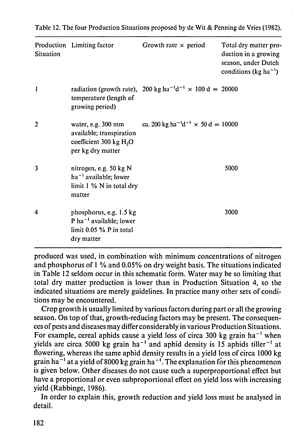**Table 12. The four Production Situations proposed by de Wit & Penning de Vries (1982).** 

| <b>Situation</b> | Production Limiting factor                                                                                       | Growth rate $\times$ period                                                             | Total dry matter pro-<br>duction in a growing<br>season, under Dutch<br>conditions (kg ha <sup>-1</sup> ) |
|------------------|------------------------------------------------------------------------------------------------------------------|-----------------------------------------------------------------------------------------|-----------------------------------------------------------------------------------------------------------|
|                  | temperature (length of<br>growing period)                                                                        | radiation (growth rate), 200 kg ha <sup>-1</sup> d <sup>-1</sup> $\times$ 100 d = 20000 |                                                                                                           |
| $\overline{2}$   | water, e.g. $300 \text{ mm}$<br>available; transpiration<br>coefficient $300 \text{ kg H}2$<br>per kg dry matter | ca. 200 kg ha <sup>-1</sup> d <sup>-1</sup> $\times$ 50 d = 10000                       |                                                                                                           |
| $\overline{3}$   | nitrogen, e.g. 50 kg N<br>$ha^{-1}$ available; lower<br>limit $1\%$ N in total dry<br>matter                     |                                                                                         | 5000                                                                                                      |
| 4                | phosphorus, e.g. 1.5 kg<br>P ha <sup>-1</sup> available; lower<br>$\lim$ 1: 0.05 % P in total<br>dry matter      |                                                                                         | 3000                                                                                                      |

**produced was used, in combination with minimum concentrations of nitrogen and phosphorus of 1 % and 0.05% on dry weight basis. The situations indicated in Table 12 seldom occur in this schematic form. Water may be so limiting that total dry matter production is lower than in Production Situation 4, so the indicated situations are merely guidelines. In practice many other sets of conditions may be encountered.** 

**Crop growth is usually limited by various factors during part or all the growing season. On top of that, growth-reducing factors may be present. The consequences of pests and diseases may differ considerably in various Production Situations.**  For example, cereal aphids cause a yield loss of circa 300 kg grain ha yields are circa 5000 kg grain ha<sup>-1</sup> and aphid density is 15 aphids till **flowering, whereas the same aphid density results in a yield loss of circa 1000 kg**  grain ha<sup>-1</sup> at a yield of 8000 kg grain ha<sup>-1</sup>. The explanation for this pher **is given below. Other diseases do not cause such a superproportional effect but have a proportional or even subproportional effect on yield loss with increasing yield (Rabbinge, 1986). In order to explain this, growth reduction and yield loss must be analysed in detail.**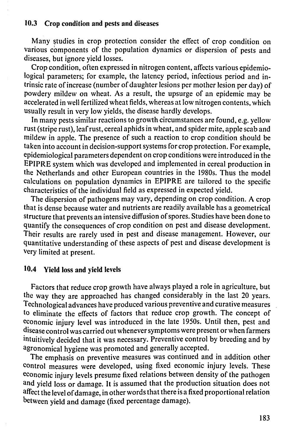#### **10.3** Crop condition and pests and diseases

Many studies in crop protection consider the effect of crop condition on various components of the population dynamics or dispersion of pests and diseases, but ignore yield losses.

Crop condition, often expressed in nitrogen content, affects various epidemiological parameters; for example, the latency period, infectious period and intrinsic rate of increase (number of daughter lesions per mother lesion per day) of powdery mildew on wheat. As a result, the upsurge of an epidemic may be accelerated in well fertilized wheat fields, whereas at low nitrogen contents, which usually result in very low yields, the disease hardly develops.

Factors that reduce crop growth have always played a role in agriculture, but the way they are approached has changed considerably in the last 20 years. Technological advances have produced various preventive and curative measures to eliminate the effects of factors that reduce crop growth. The concept of economic injury level was introduced in the late 1950s. Until then, pest and disease control was carried out whenever symptoms were present or when farmers intuitively decided that it was necessary. Preventive control by breeding and by agronomical hygiene was promoted and generally accepta The emphasis on preventive measures was continued and in addition other control measures were developed, using fixed economic injury levels. These economic injury levels presume fixed relations between density of the pathogen and yield loss or damage. It is assumed that the production situation does not affect the level of damage, in other words that there is a fixed proportional relation between yield and damage (fixed percentage damage).

In many pests similar reactions to growth circumstances are found, e.g. yellow rust (stripe rust), leaf rust, cereal aphids in wheat, and spider mite, apple scab and mildew in apple. The presence of such a reaction to crop condition should be taken into account in decision-support systems for crop protection. For example, epidemiological parameters dependent on crop conditions were introduced in the EPIPRE system which was developed and implemented in cereal production in the Netherlands and other European countries in the 1980s. Thus the model calculations on population dynamics in EPIPRE are tailored to the specific characteristics of the individual field as expressed in expected yield.

The dispersion of pathogens may vary, depending on crop condition. A crop that is dense because water and nutrients are readily available has a geometrical structure that prevents an intensive diffusion of spores. Studies have been done to quantify the consequences of crop condition on pest and disease development. Their results are rarely used in pest and disease management. However, our quantitative understanding of these aspects of pest and disease development is very limited at present.

## 10.4 Yield loss and yield levels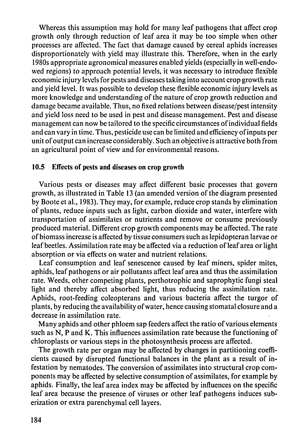Whereas this assumption may hold for many leaf pathogens that affect crop growth only through reduction of leaf area it may be too simple when other processes are affected. The fact that damage caused by cereal aphids increases disproportionately with yield may illustrate this. Therefore, when in the early 1980s appropriate agronomical measures enabled yields (especially in well-endowed regions) to approach potential levels, it was necessary to introduce flexible economic injury levels for pests and diseases taking into account crop growth rate and yield level. It was possible to develop these flexible economic injury levels as more knowledge and understanding of the nature of crop growth reduction and damage became available. Thus, no fixed relations between disease/pest intensity and yield loss need to be used in pest and disease management. Pest and disease management can now be tailored to the specific circumstances of individual fields and can vary in time. Thus, pesticide use can be limited and efficiency of inputs per unit of output can increase considerably. Such an objective is attractive both from an agricultural point of view and for environmental reasons.

#### 10.5 Effects of pests and diseases on crop growth

Various pests or diseases may affect different basic processes that govern growth, as illustrated in Table 13 (an amended version of the diagram presented by Boote et al., 1983). They may, for example, reduce crop stands by elimination of plants, reduce inputs such as light, carbon dioxide and water, interfere with transportation of assimilates or nutrients and remove or consume previously produced material. Different crop growth components may be affected. The rate of biomass increase is affected by tissue consumers such as lepidopteran larvae or leaf beetles. Assimilation rate may be affected via a reduction of leaf area or light absorption or via effects on water and nutrient relations.

Leaf consumption and leaf senescence caused by leaf miners, spider mites, aphids, leaf pathogens or air pollutants affect leaf area and thus the assimilation rate. Weeds, other competing plants, perthotrophic and saprophytic fungi steal light and thereby affect absorbed light, thus reducing the assimilation rate. Aphids, root-feeding coleopterans and various bacteria affect the turgor of plants, by reducing the availability of water, hence causing stomatal closure and a decrease in assimilation rate.

Many aphids and other phloem sap feeders affect the ratio of various elements

such as N, P and K. This influences assimilation rate because the functioning of chloroplasts or various steps in the photosynthesis process are affected.

The growth rate per organ may be affected by changes in partitioning coefficients caused by disrupted functional balances in the plant as a result of infestation by nematodes. The conversion of assimilates into structural crop components may be affected by selective consumption of assimilates, for example by aphids. Finally, the leaf area index may be affected by influences on the specific leaf area because the presence of viruses or other leaf pathogens induces suberization or extra parenchymal cell layers.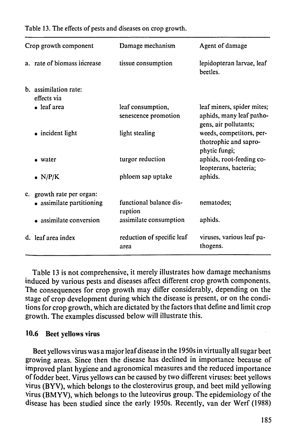**Table 13. The effects of pests and diseases on crop growth.** 

| Crop growth component |                                                        | Damage mechanism                          | Agent of damage                                                                 |  |
|-----------------------|--------------------------------------------------------|-------------------------------------------|---------------------------------------------------------------------------------|--|
|                       | a. rate of biomass increase                            | tissue consumption                        | lepidopteran larvae, leaf<br>beetles.                                           |  |
|                       | b. assimilation rate:<br>effects via                   |                                           |                                                                                 |  |
|                       | • leaf area                                            | leaf consumption,<br>senescence promotion | leaf miners, spider mites;<br>aphids, many leaf patho-<br>gens, air pollutants; |  |
|                       | $\bullet$ incident light                               | light stealing                            | weeds, competitors, per-<br>thotrophic and sapro-<br>phytic fungi;              |  |
|                       | • water                                                | turgor reduction                          | aphids, root-feeding co-<br>leopterans, bacteria;                               |  |
|                       | $\bullet$ N/P/K                                        | phloem sap uptake                         | aphids.                                                                         |  |
|                       | c. growth rate per organ:<br>• assimilate partitioning | functional balance dis-<br>ruption        | nematodes;                                                                      |  |
|                       | • assimilate conversion                                | assimilate consumption                    | aphids.                                                                         |  |
|                       | d. leaf area index                                     | reduction of specific leaf<br>area        | viruses, various leaf pa-<br>thogens.                                           |  |

**Table 13 is not comprehensive, it merely illustrates how damage mechanisms induced by various pests and diseases affect different crop growth components. The consequences for crop growth may differ considerably, depending on the stage of crop development during which the disease is present, or on the conditions for crop growth, which are dictated by the factors that define and limit crop growth. The examples discussed below will illustrate this.** 

#### **10.6 Beet yellows virus**

**Beet yellows virus was a major leaf disease in the 1950s in virtually all sugar beet growing areas. Since then the disease has declined in importance because of improved plant hygiene and agronomical measures and the reduced importance of fodder beet. Virus yellows can be caused by two different viruses: beet yellows virus (BYV), which belongs to the closterovirus group, and beet mild yellowing virus (BMYV), which belongs to the luteovirus group. The epidemiology of the disease has been studied since the early 1950s. Recently, van der Werf (1988)**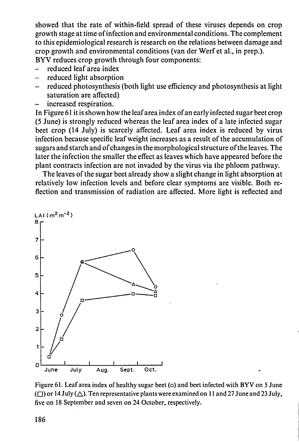**showed that the rate of within-field spread of these viruses depends on crop growth stage at time of infection and environmental conditions. The complement to this epidemiological research is research on the relations between damage and crop growth and environmental conditions (van der Werf et al., in prep.). BYV reduces crop growth through four components:** 

- **reduced leaf area index**
- **reduced light absorption**
- **reduced photosynthesis (both light use efficiency and photosynthesis at light saturation are affected)**
- **increased respiration.**

**In Figure 61 it is shown how the leaf area index of an early infected sugar beet crop (5 June) is strongly reduced whereas the leaf area index of a late infected sugar beet crop (14 July) is scarcely affected. Leaf area index is reduced by virus infection because specific leaf weight increases as a result of the accumulation of sugars and starch and of changes in the morphological structure of the leaves. The later the infection the smaller the effect as leaves which have appeared before the plant contracts infection are not invaded by the virus via the phloem pathway.** 

**The leaves of the sugar beet already show a slight change in light absorption at relatively low infection levels and before clear symptoms are visible. Both reflection and transmission of radiation are affected. More light is reflected and** 



**Figure 61. Leaf area index of healthy sugar beet (o) and beet infected with BYV on 5 June ( •) or 14 July (A)- Ten representative plants were examined on 11 and 27 June and 23 July, five on 18 September and seven on 24 October, respectively.**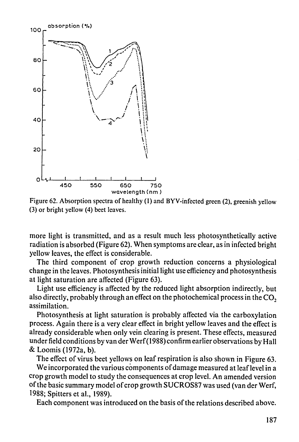

**Figure 62. Absorption spectra of healthy (1) and BYV-infected green (2), greenish yellow (3) or bright yellow (4) beet leaves.** 

more light is transmitted, and as a result much less photosynthetically active radiation is absorbed (Figure 62). When symptoms are clear, as in infected bright yellow leaves, the effect is considerable.

The third component of crop growth reduction concerns a physiological change in the leaves. Photosynthesis initial light use efficiency and photosynthesis at light saturation are affected (Figure 63).

Light use efficiency is affected by the reduced light absorption indirectly, but also directly, probably through an effect on the photochemical process in the  $CO<sub>2</sub>$ assimilation.

Photosynthesis at light saturation is probably affected via the carboxylation process. Again there is a very clear effect in bright yellow leaves and the effect is already considerable when only vein clearing is present. These effects, measured under field conditions by van der Werf (1988) confirm earlier observations by Hall & Loomis (1972a, b). The effect of virus beet yellows on leaf respiration is also shown in Figure 63. We incorporated the various components of damage measured at leaf level in a crop growth model to study the consequences at crop level. An amended version of the basic summary model of crop growth SUCROS87 was used (van der Werf, 1988; Spitters et al., 1989). Each component was introduced on the basis of the relations described above.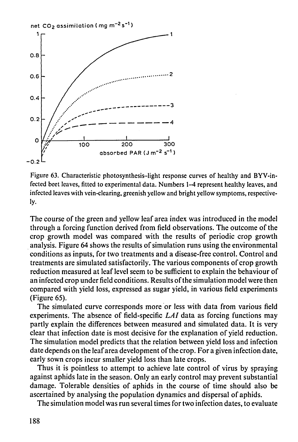

**Figure 63. Characteristic photosynthesis-light response curves of healthy and BYV-infected beet leaves, fitted to experimental data. Numbers 1-4 represent healthy leaves, and infected leaves with vein-clearing, greenish yellow and bright yellow symptoms, respectiveiy.** 

**The course of the green and yellow leaf area index was introduced in the model through a forcing function derived from field observations. The outcome of the crop growth model was compared with the results of periodic crop growth analysis. Figure 64 shows the results of simulation runs using the environmental conditions as inputs, for two treatments and a disease-free control. Control and treatments are simulated satisfactorily. The various components of crop growth reduction measured at leaf level seem to be sufficient to explain the behaviour of an infected crop under field conditions. Results of the simulation model were then compared with yield loss, expressed as sugar yield, in various field experiments (Figure 65).** 

**The simulated curve corresponds more or less with data from various field experiments. The absence of field-specific** *LAI* **data as forcing functions may partly explain the differences between measured and simulated data. It is very clear that infection date is most decisive for the explanation of yield reduction. The simulation model predicts that the relation between yield loss and infection date depends on the leaf area development of the crop. For a given infection date, early sown crops incur smaller yield loss than late crops. Thus it is pointless to attempt to achieve late control of virus by spraying against aphids late in the season. Only an early control may prevent substantial damage. Tolerable densities of aphids in the course of time should also be ascertained by analysing the population dynamics and dispersal of aphids. The simulation model was run several times for two infection dates, to evaluate**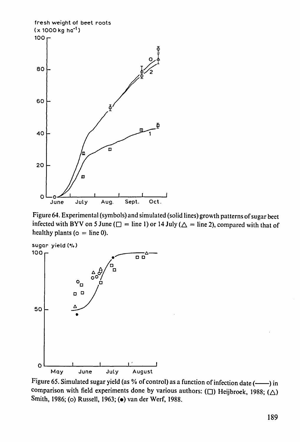Figure 65. Simulated sugar yield (as % of control) as a function of infection date (-----) in comparison with field experiments done by various authors: ( $\Box$ ) Heijbroek, 1988; ( $\triangle$ ) **Smith, 1986; (o) Russell, 1963; (•) van der Werf, 1988.** 



**Figure 64. Experimental (symbols) and simulated (solid lines) growth patterns of sugar beet**  infected with BYV on 5 June ( $\Box$  = line 1) or 14 July ( $\triangle$  = line 2), compared with that of healthy plants ( $o = line 0$ ).



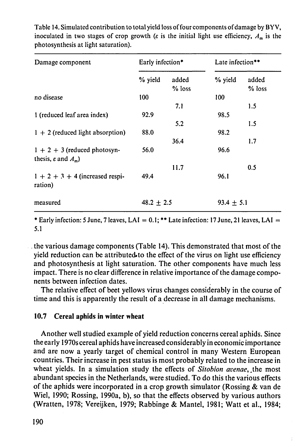**Table 14. Simulated contribution to total yield loss of four components of damage by B YV,**  inoculated in two stages of crop growth ( $\varepsilon$  is the initial light use efficiency,  $A_m$  is the **photosynthesis at light saturation).** 

| Damage component                             | Early infection* |                   | Late infection** |                 |
|----------------------------------------------|------------------|-------------------|------------------|-----------------|
|                                              | % yield          | added<br>$%$ loss | % yield          | added<br>% loss |
| no disease                                   | 100              |                   | 100              |                 |
|                                              |                  | 7.1               |                  | 1.5             |
| 1 (reduced leaf area index)                  | 92.9             |                   | 98.5             |                 |
|                                              |                  | 5.2               |                  | 1.5             |
| $1 + 2$ (reduced light absorption)           | 88.0             |                   | 98.2             |                 |
|                                              |                  | 36.4              |                  | 1.7             |
| $1 + 2 + 3$ (reduced photosyn-               | 56.0             |                   | 96.6             |                 |
| thesis, $\varepsilon$ and $A_m$ )            |                  |                   |                  |                 |
|                                              |                  | 11.7              |                  | 0.5             |
| $1 + 2 + 3 + 4$ (increased respi-<br>ration) | 49.4             |                   | 96.1             |                 |
| measured                                     | $48.2 \pm 2.5$   |                   | $93.4 \pm 5.1$   |                 |

**\* Early infection: 5 June, 7 leaves, LAI = 0.1; \*\* Late infection: 17 June, 21 leaves, LAI = 5.1** 

the various damage components (Table 14). This demonstrated that most of the yield reduction can be attributed to the effect of the virus on light use efficiency and photosynthesis at light saturation. The other components have much less impact. There is no clear difference in relative importance of the damage components between infection dates.

The relative effect of beet yellows virus changes considerably in the course of time and this is apparently the result of a decrease in all damage mechanisms.

### **10.7** Cereal aphids in winter wheat

Another well studied example of yield reduction concerns cereal aphids. Since the early 1970s cereal aphids have increased considerably in economic importance and are now a yearly target of chemical control in many Western European countries. Their increase in pest status is most probably related to the increase in wheat yields. In a simulation study the effects of *Sitobion avenae,* ,the most abundant species in the Netherlands, were studied. To do this the various effects of the aphids were incorporated in a crop growth simulator (Rossing & van de Wiel, 1990; Rossing, 1990a, b), so that the effects observed by various authors (Wratten, 1978; Vereijken, 1979; Rabbinge & Mantel, 1981; Watt et al., 1984;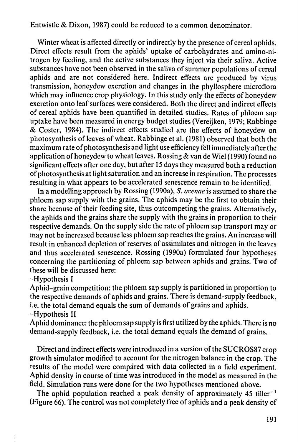Entwistle & Dixon, 1987) could be reduced to a common denominator.

Winter wheat is affected directly or indirectly by the presence of cereal aphids. Direct effects result from the aphids' uptake of carbohydrates and amino-nitrogen by feeding, and the active substances they inject via their saliva. Active substances have not been observed in the saliva of summer populations of cereal aphids and are not considered here. Indirect effects are produced by virus transmission, honeydew excretion and changes in the phyllosphere microflora which may influence crop physiology. In this study only the effects of honeydew excretion onto leaf surfaces were considered. Both the direct and indirect effects of cereal aphids have been quantified in detailed studies. Rates of phloem sap uptake have been measured in energy budget studies (Vereijken, 1979; Rabbinge & Coster, 1984). The indirect effects studied are the effects of honeydew on photosynthesis of leaves of wheat. Rabbinge et al. (1981) observed that both the maximum rate of photosynthesis and light use efficiency fell immediately after the application of honeydew to wheat leaves. Rossing & van de Wiel (1990) found no significant effects after one day, but after 15 days they measured both a reduction of photosynthesis at light saturation and an increase in respiration. The processes resulting in what appears to be accelerated senescence remain to be identified.

In a modelling approach by Rossing (1990a), *S. avenae* is assumed to share the phloem sap supply with the grains. The aphids may be the first to obtain their share because of their feeding site, thus outcompeting the grains. Alternatively, the aphids and the grains share the supply with the grains in proportion to their respective demands. On the supply side the rate of phloem sap transport may or may not be increased because less phloem sap reaches the grains. An increase will result in enhanced depletion of reserves of assimilates and nitrogen in the leaves and thus accelerated senescence. Rossing (1990a) formulated four hypotheses concerning the partitioning of phloem sap between aphids and grains. Two of these will be discussed here:

-Hypothesis I

Aphid-grain competition: the phloem sap supply is partitioned in proportion to the respective demands of aphids and grains. There is demand-supply feedback, i.e. the total demand equals the sum of demands of grains and aphids.

-Hypothesis II

Aphid dominance: the phloem sap supply is first utilized by the aphids. There is no demand-supply feedback, i.e. the total demand equals the demand of grains.

Direct and indirect effects were introduced in a version of the SUCROS87 crop growth simulator modified to account for the nitrogen balance in the crop. The results of the model were compared with data collected in a field experiment. Aphid density in course of time was introduced in the model as measured in the field. Simulation runs were done for the two hypotheses mentioned above. The aphid population reached a peak density of approximately  $45$  tiller<sup>-1</sup> (Figure 66). The control was not completely free of aphids and a peak density of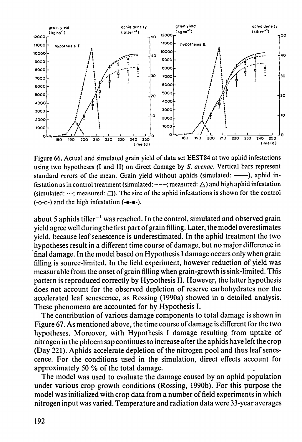

**Figure 66. Actual and simulated grain yield of data set EEST84 at two aphid infestations using two hypotheses (I and II) on direct damage by** *S. avenae.* **Vertical bars represent**  standard errors of the mean. Grain yield without aphids (simulated: ----), aphid infestation as in control treatment (simulated:  $---$ ; measured:  $\triangle$ ) and high aphid infestation (simulated: …; measured: □). The size of the aphid infestations is shown for the control **(-0-0-) and the high infestation (-•-•-).** 

about 5 aphids tiller<sup>-1</sup> was reached. In the control, simulated and observe **yield agree well during the first part of grain filling. Later, the model overestimates yield, because leaf senescence is underestimated. In the aphid treatment the two hypotheses result in a different time course of damage, but no major difference in final damage. In the model based on Hypothesis I damage occurs only when grain filling is source-limited. In the field experiment, however reduction of yield was measurable from the onset of grain filling when grain-growth is sink-limited. This pattern is reproduced correctly by Hypothesis II. However, the latter hypothesis does not account for the observed depletion of reserve carbohydrates nor the accelerated leaf senescence, as Rossing (1990a) showed in a detailed analysis. These phenomena are accounted for by Hypothesis I.** 

**The contribution of various damage components to total damage is shown in Figure 67. As mentioned above, the time course of damage is different for the two hypotheses. Moreover, with Hypothesis I damage resulting from uptake of nitrogen in the phloem sap continues to increase after the aphids have left the crop (Day 221). Aphids accelerate depletion of the nitrogen pool and thus leaf senescence. For the conditions used in the simulation, direct effects account for approximately 50 % of the total damage. The model was used to evaluate the damage caused by an aphid population under various crop growth conditions (Rossing, 1990b). For this purpose the model was initialized with crop data from a number of ield experiments in which nitrogen input was varied. Temperature and radiation data were 33-year averages**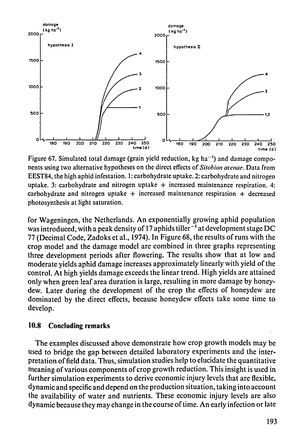

**Figure 67. Simulated total damage (grain yield reduction, kg ha-1) and damage components using two alternative hypotheses on the direct effects of** *Sitobion avenae.* **Data from EEST84, the high aphid infestation. 1: carbohydrate uptake. 2: carbohydrate and nitrogen**  uptake. 3: carbohydrate and nitrogen uptake + increased maintenance respiration. 4: **carbohydrate and nitrogen uptake + increased maintenance respiration + decreased photosynthesis at light saturation.** 

**for Wageningen, the Netherlands. An exponentially growing aphid population**  was introduced, with a peak density of 17 aphids tiller<sup>-1</sup> at development st **77 (Decimal Code, Zadoks et al., 1974). In Figure 68, the results of runs with the crop model and the damage model are combined in three graphs representing three development periods after flowering. The results show that at low and moderate yields aphid damage increases approximately linearly with yield of the control. At high yields damage exceeds the linear trend. High yields are attained only when green leaf area duration is large, resulting in more damage by honeydew. Later during the development of the crop the effects of honeydew are dominated by the direct effects, because honeydew effects take some time to develop.** 

#### **10.8 Concluding remarks**

**The examples discussed above demonstrate how crop growth models may be used to bridge the gap between detailed laboratory experiments and the interpretation of ield data. Thus, simulation studies help to elucidate the quantitative meaning of various components of crop growth reduction. This insight is used in further simulation experiments to derive economic injury levels that are flexible, dynamic and specific and depend on the production situation, taking into account the availability of water and nutrients. These economic injury levels are also dynamic because they may change in the course of time. An early infection or late**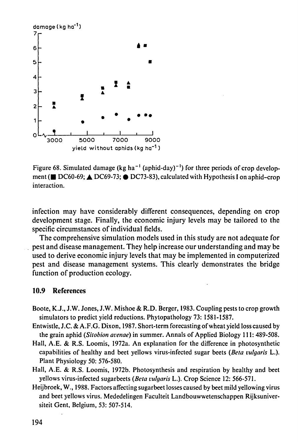

Figure 68. Simulated damage (kg ha<sup>-1</sup> (aphid-day)<sup>-1</sup>) for three periods of crop d ment (■ DC60-69; △ DC69-73; ● DC73-83), calculated with Hypothesis I on aphid-crop **interaction.** 

**infection may have considerably different consequences, depending on crop development stage. Finally, the economic injury levels may be tailored to the specific circumstances of individual fields.** 

**The comprehensive simulation models used in this study are not adequate for pest and disease management. They help increase our understanding and may be used to derive economic injury levels that may be implemented in computerized pest and disease management systems. This clearly demonstrates the bridge function of production ecology.** 

#### **10.9 References**

- **Boote, K.J., J.W. Jones, J.W. Mishoe & R.D. Berger, 1983. Coupling pests to crop growth simulators to predict yield reductions. Phytopathology 73: 1581-1587.**
- **Entwistle, J.C. & A.F.G. Dixon, 1987. Short-term forecasting of wheat yield loss caused by**

**the grain aphid** *(Sitobion avenae)* **in summer. Annals of Applied Biology 111: 489-508. Hall, A.E. & R.S. Loomis, 1972a. An explanation for the difference in photosynthetic capabilities of healthy and beet yellows virus-infected sugar beets** *(Beta vulgaris* **L.). Plant Physiology 50: 576-580.** 

**Hall, A.E. & R.S. Loomis, 1972b. Photosynthesis and respiration by healthy and beet yellows virus-infected sugarbeets** *(Beta vulgaris* **L.). Crop Science 12: 566-571. Heijbroek, W., 1988. Factors affecting sugarbeet losses caused by beet mild yellowing virus and beet yellows virus. Mededelingen Faculteit Landbouwwetenschappen Rijksuniversiteit Gent, Belgium, 53: 507-514.**